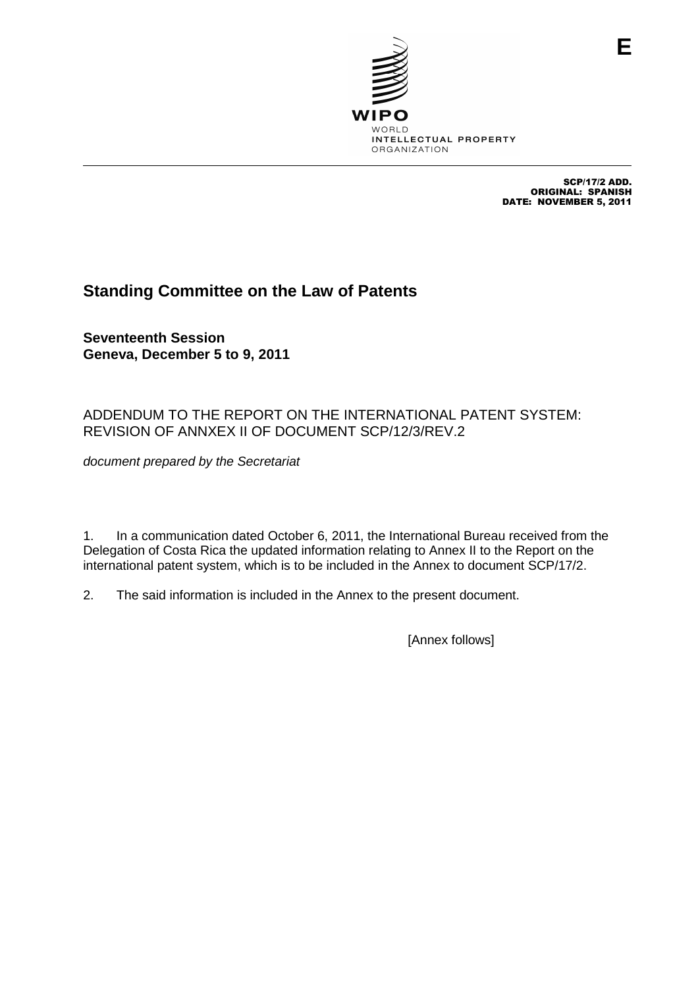

SCP/17/2 ADD. ORIGINAL: SPANISH DATE: NOVEMBER 5, 2011

**E**

# **Standing Committee on the Law of Patents**

**Seventeenth Session Geneva, December 5 to 9, 2011**

## ADDENDUM TO THE REPORT ON THE INTERNATIONAL PATENT SYSTEM: REVISION OF ANNXEX II OF DOCUMENT SCP/12/3/REV.2

document prepared by the Secretariat

1. In a communication dated October 6, 2011, the International Bureau received from the Delegation of Costa Rica the updated information relating to Annex II to the Report on the international patent system, which is to be included in the Annex to document SCP/17/2.

2. The said information is included in the Annex to the present document.

[Annex follows]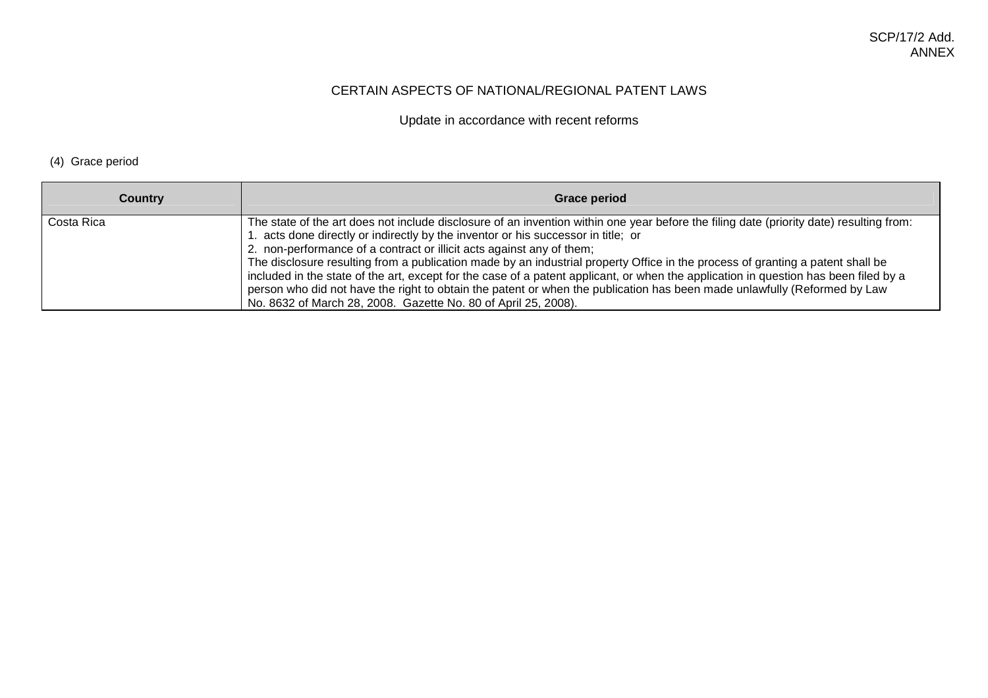#### CERTAIN ASPECTS OF NATIONAL/REGIONAL PATENT LAWS

Update in accordance with recent reforms

### (4) Grace period

| <b>Country</b> | <b>Grace period</b>                                                                                                                                                                                                                                                                                                                                                                                                                                                                                                                                                                                                                                                                                                                                                           |
|----------------|-------------------------------------------------------------------------------------------------------------------------------------------------------------------------------------------------------------------------------------------------------------------------------------------------------------------------------------------------------------------------------------------------------------------------------------------------------------------------------------------------------------------------------------------------------------------------------------------------------------------------------------------------------------------------------------------------------------------------------------------------------------------------------|
| Costa Rica     | The state of the art does not include disclosure of an invention within one year before the filing date (priority date) resulting from:<br>1. acts done directly or indirectly by the inventor or his successor in title; or<br>2. non-performance of a contract or illicit acts against any of them;<br>The disclosure resulting from a publication made by an industrial property Office in the process of granting a patent shall be<br>included in the state of the art, except for the case of a patent applicant, or when the application in question has been filed by a<br>person who did not have the right to obtain the patent or when the publication has been made unlawfully (Reformed by Law<br>No. 8632 of March 28, 2008. Gazette No. 80 of April 25, 2008). |